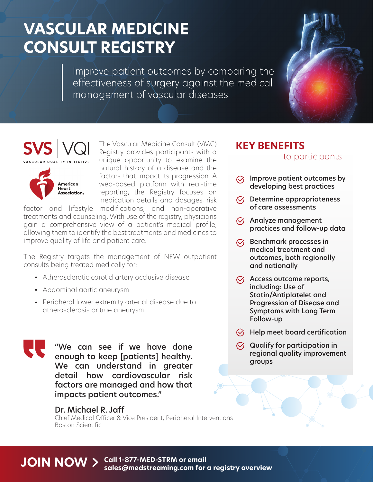# **VASCULAR MEDICINE CONSULT REGISTRY**

Improve patient outcomes by comparing the effectiveness of surgery against the medical management of vascular diseases





The Vascular Medicine Consult (VMC) Registry provides participants with a unique opportunity to examine the natural history of a disease and the factors that impact its progression. A web-based platform with real-time reporting, the Registry focuses on medication details and dosages, risk

factor and lifestyle modifications, and non-operative treatments and counseling. With use of the registry, physicians gain a comprehensive view of a patient's medical profile, allowing them to identify the best treatments and medicines to improve quality of life and patient care.

The Registry targets the management of NEW outpatient consults being treated medically for:

- Atherosclerotic carotid artery occlusive disease •
- Abdominal aortic aneurysm •
- Peripheral lower extremity arterial disease due to atherosclerosis or true aneurysm



"We can see if we have done enough to keep [patients] healthy. We can understand in greater detail how cardiovascular risk factors are managed and how that impacts patient outcomes."

## Dr. Michael R. Jaff

Chief Medical Officer & Vice President, Peripheral Interventions Boston Scientific

## **KEY BENEFITS**

## to participants

- $\heartsuit$  Improve patient outcomes by developing best practices
- $\heartsuit$  Determine appropriateness of care assessments
- $\heartsuit$  Analyze management practices and follow-up data
- $\heartsuit$  Benchmark processes in medical treatment and outcomes, both regionally and nationally
- $\sqrt{\smash[b]{\mathcal{C}}}$  Access outcome reports, including: Use of Statin/Antiplatelet and Progression of Disease and Symptoms with Long Term Follow-up
- $\heartsuit$  Help meet board certification
- $\heartsuit$  Qualify for participation in regional quality improvement groups

#### **JOIN NOW**  $>$  Call 1-877-MED-STRM or email **sales@medstreaming.com for a registry overview**